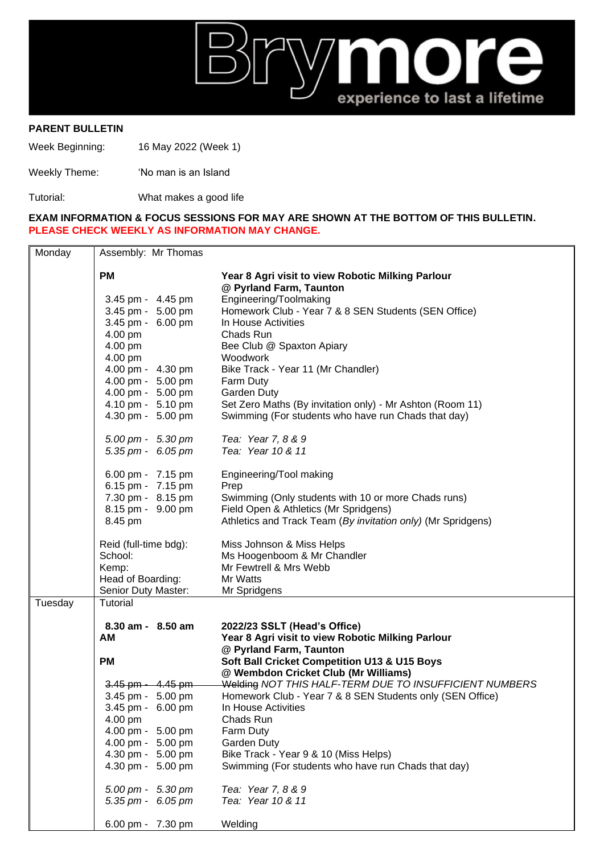

## **PARENT BULLETIN**

Week Beginning: 16 May 2022 (Week 1)

Weekly Theme: 'No man is an Island

Tutorial: What makes a good life

## **EXAM INFORMATION & FOCUS SESSIONS FOR MAY ARE SHOWN AT THE BOTTOM OF THIS BULLETIN. PLEASE CHECK WEEKLY AS INFORMATION MAY CHANGE.**

| Monday  | Assembly: Mr Thomas                    |                                                                                                                  |  |  |  |
|---------|----------------------------------------|------------------------------------------------------------------------------------------------------------------|--|--|--|
|         | <b>PM</b>                              | Year 8 Agri visit to view Robotic Milking Parlour<br>@ Pyrland Farm, Taunton                                     |  |  |  |
|         | 3.45 pm - 4.45 pm                      | Engineering/Toolmaking                                                                                           |  |  |  |
|         | 3.45 pm - 5.00 pm                      | Homework Club - Year 7 & 8 SEN Students (SEN Office)                                                             |  |  |  |
|         | 3.45 pm - 6.00 pm                      | In House Activities                                                                                              |  |  |  |
|         | 4.00 pm                                | Chads Run<br>Bee Club @ Spaxton Apiary<br>Woodwork<br>Bike Track - Year 11 (Mr Chandler)<br>Farm Duty            |  |  |  |
|         | 4.00 pm                                |                                                                                                                  |  |  |  |
|         | 4.00 pm                                |                                                                                                                  |  |  |  |
|         | 4.00 pm - 4.30 pm                      |                                                                                                                  |  |  |  |
|         | 4.00 pm - 5.00 pm                      |                                                                                                                  |  |  |  |
|         | 4.00 pm - 5.00 pm                      | <b>Garden Duty</b>                                                                                               |  |  |  |
|         | 4.10 pm - 5.10 pm<br>4.30 pm - 5.00 pm | Set Zero Maths (By invitation only) - Mr Ashton (Room 11)<br>Swimming (For students who have run Chads that day) |  |  |  |
|         |                                        |                                                                                                                  |  |  |  |
|         | 5.00 pm - 5.30 pm                      | Tea: Year 7, 8 & 9                                                                                               |  |  |  |
|         | 5.35 pm - 6.05 pm                      | Tea: Year 10 & 11                                                                                                |  |  |  |
|         | 6.00 pm - 7.15 pm                      | Engineering/Tool making                                                                                          |  |  |  |
|         | 6.15 pm - 7.15 pm                      | Prep                                                                                                             |  |  |  |
|         | 7.30 pm - 8.15 pm                      | Swimming (Only students with 10 or more Chads runs)                                                              |  |  |  |
|         | 8.15 pm - 9.00 pm                      | Field Open & Athletics (Mr Spridgens)                                                                            |  |  |  |
|         | 8.45 pm                                | Athletics and Track Team (By invitation only) (Mr Spridgens)                                                     |  |  |  |
|         | Reid (full-time bdg):                  | Miss Johnson & Miss Helps                                                                                        |  |  |  |
|         | School:                                | Ms Hoogenboom & Mr Chandler                                                                                      |  |  |  |
|         | Kemp:                                  | Mr Fewtrell & Mrs Webb                                                                                           |  |  |  |
|         | Head of Boarding:                      | Mr Watts                                                                                                         |  |  |  |
| Tuesday | Senior Duty Master:<br>Tutorial        | Mr Spridgens                                                                                                     |  |  |  |
|         |                                        |                                                                                                                  |  |  |  |
|         | 8.30 am - 8.50 am                      | 2022/23 SSLT (Head's Office)                                                                                     |  |  |  |
|         | AM                                     | Year 8 Agri visit to view Robotic Milking Parlour                                                                |  |  |  |
|         | <b>PM</b>                              | @ Pyrland Farm, Taunton<br>Soft Ball Cricket Competition U13 & U15 Boys                                          |  |  |  |
|         |                                        | @ Wembdon Cricket Club (Mr Williams)                                                                             |  |  |  |
|         | $3.45$ pm $-4.45$ pm                   | Welding NOT THIS HALF-TERM DUE TO INSUFFICIENT NUMBERS                                                           |  |  |  |
|         | 3.45 pm - 5.00 pm                      | Homework Club - Year 7 & 8 SEN Students only (SEN Office)                                                        |  |  |  |
|         | 3.45 pm - 6.00 pm                      | In House Activities                                                                                              |  |  |  |
|         | 4.00 pm                                | Chads Run                                                                                                        |  |  |  |
|         | 4.00 pm - 5.00 pm                      | Farm Duty                                                                                                        |  |  |  |
|         | 4.00 pm - 5.00 pm                      | Garden Duty                                                                                                      |  |  |  |
|         | 4.30 pm - 5.00 pm                      | Bike Track - Year 9 & 10 (Miss Helps)                                                                            |  |  |  |
|         | 4.30 pm - 5.00 pm                      | Swimming (For students who have run Chads that day)                                                              |  |  |  |
|         | 5.00 pm - 5.30 pm                      | Tea: Year 7, 8 & 9                                                                                               |  |  |  |
|         | 5.35 pm - 6.05 pm                      | Tea: Year 10 & 11                                                                                                |  |  |  |
|         | 6.00 pm - 7.30 pm                      | Welding                                                                                                          |  |  |  |
|         |                                        |                                                                                                                  |  |  |  |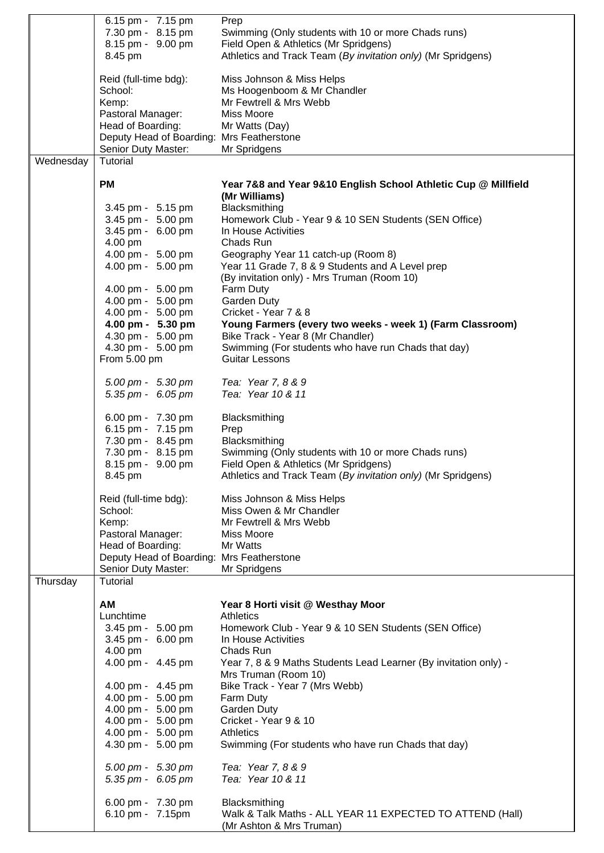|           | 6.15 pm - 7.15 pm<br>7.30 pm - 8.15 pm<br>8.15 pm - 9.00 pm<br>8.45 pm | Prep<br>Swimming (Only students with 10 or more Chads runs)<br>Field Open & Athletics (Mr Spridgens)<br>Athletics and Track Team (By invitation only) (Mr Spridgens) |
|-----------|------------------------------------------------------------------------|----------------------------------------------------------------------------------------------------------------------------------------------------------------------|
|           | Reid (full-time bdg):                                                  | Miss Johnson & Miss Helps                                                                                                                                            |
|           | School:                                                                | Ms Hoogenboom & Mr Chandler                                                                                                                                          |
|           | Kemp:                                                                  | Mr Fewtrell & Mrs Webb                                                                                                                                               |
|           | Pastoral Manager:                                                      | Miss Moore                                                                                                                                                           |
|           | Head of Boarding:                                                      | Mr Watts (Day)                                                                                                                                                       |
|           | Deputy Head of Boarding: Mrs Featherstone                              |                                                                                                                                                                      |
|           | Senior Duty Master:                                                    | Mr Spridgens                                                                                                                                                         |
| Wednesday | Tutorial                                                               |                                                                                                                                                                      |
|           | <b>PM</b>                                                              | Year 7&8 and Year 9&10 English School Athletic Cup @ Millfield<br>(Mr Williams)                                                                                      |
|           | 3.45 pm - 5.15 pm                                                      | Blacksmithing                                                                                                                                                        |
|           | 3.45 pm - 5.00 pm                                                      | Homework Club - Year 9 & 10 SEN Students (SEN Office)                                                                                                                |
|           | 3.45 pm - 6.00 pm                                                      | In House Activities                                                                                                                                                  |
|           | 4.00 pm                                                                | Chads Run                                                                                                                                                            |
|           | 4.00 pm - 5.00 pm                                                      | Geography Year 11 catch-up (Room 8)                                                                                                                                  |
|           | 4.00 pm - 5.00 pm                                                      | Year 11 Grade 7, 8 & 9 Students and A Level prep                                                                                                                     |
|           |                                                                        | (By invitation only) - Mrs Truman (Room 10)                                                                                                                          |
|           | 4.00 pm - 5.00 pm                                                      | Farm Duty                                                                                                                                                            |
|           | 4.00 pm - 5.00 pm                                                      | Garden Duty                                                                                                                                                          |
|           | 4.00 pm - 5.00 pm                                                      | Cricket - Year 7 & 8                                                                                                                                                 |
|           | 4.00 pm - 5.30 pm                                                      | Young Farmers (every two weeks - week 1) (Farm Classroom)                                                                                                            |
|           | 4.30 pm - 5.00 pm                                                      | Bike Track - Year 8 (Mr Chandler)                                                                                                                                    |
|           | 4.30 pm - 5.00 pm                                                      | Swimming (For students who have run Chads that day)                                                                                                                  |
|           | From 5.00 pm                                                           | Guitar Lessons                                                                                                                                                       |
|           | 5.00 pm - 5.30 pm                                                      | Tea: Year 7, 8 & 9                                                                                                                                                   |
|           | 5.35 pm - $6.05$ pm                                                    | Tea: Year 10 & 11                                                                                                                                                    |
|           | 6.00 pm - 7.30 pm                                                      | Blacksmithing                                                                                                                                                        |
|           | 6.15 pm - 7.15 pm                                                      | Prep                                                                                                                                                                 |
|           | 7.30 pm - 8.45 pm                                                      | Blacksmithing                                                                                                                                                        |
|           | 7.30 pm - 8.15 pm                                                      | Swimming (Only students with 10 or more Chads runs)                                                                                                                  |
|           | 8.15 pm - 9.00 pm<br>8.45 pm                                           | Field Open & Athletics (Mr Spridgens)<br>Athletics and Track Team (By invitation only) (Mr Spridgens)                                                                |
|           |                                                                        |                                                                                                                                                                      |
|           | Reid (full-time bdg):                                                  | Miss Johnson & Miss Helps                                                                                                                                            |
|           | School:                                                                | Miss Owen & Mr Chandler                                                                                                                                              |
|           | Kemp:<br>Pastoral Manager:                                             | Mr Fewtrell & Mrs Webb<br>Miss Moore                                                                                                                                 |
|           | Head of Boarding:                                                      | Mr Watts                                                                                                                                                             |
|           | Deputy Head of Boarding: Mrs Featherstone                              |                                                                                                                                                                      |
|           | Senior Duty Master:                                                    | Mr Spridgens                                                                                                                                                         |
| Thursday  | Tutorial                                                               |                                                                                                                                                                      |
|           | AM                                                                     | Year 8 Horti visit @ Westhay Moor                                                                                                                                    |
|           | Lunchtime                                                              | <b>Athletics</b>                                                                                                                                                     |
|           | 3.45 pm - 5.00 pm                                                      | Homework Club - Year 9 & 10 SEN Students (SEN Office)                                                                                                                |
|           | 3.45 pm - 6.00 pm                                                      | In House Activities                                                                                                                                                  |
|           | 4.00 pm                                                                | Chads Run                                                                                                                                                            |
|           | 4.00 pm - 4.45 pm                                                      | Year 7, 8 & 9 Maths Students Lead Learner (By invitation only) -<br>Mrs Truman (Room 10)                                                                             |
|           | 4.00 pm - 4.45 pm                                                      | Bike Track - Year 7 (Mrs Webb)                                                                                                                                       |
|           | 4.00 pm - 5.00 pm                                                      | Farm Duty                                                                                                                                                            |
|           | 4.00 pm - 5.00 pm                                                      | Garden Duty                                                                                                                                                          |
|           | 4.00 pm - 5.00 pm                                                      | Cricket - Year 9 & 10                                                                                                                                                |
|           | 4.00 pm - 5.00 pm                                                      | <b>Athletics</b>                                                                                                                                                     |
|           | 4.30 pm - 5.00 pm                                                      | Swimming (For students who have run Chads that day)                                                                                                                  |
|           | $5.00 \text{ pm} - 5.30 \text{ pm}$                                    | Tea: Year 7, 8 & 9                                                                                                                                                   |
|           | 5.35 pm - $6.05$ pm                                                    | Tea: Year 10 & 11                                                                                                                                                    |
|           | 6.00 pm - 7.30 pm                                                      | Blacksmithing                                                                                                                                                        |
|           | 6.10 pm - 7.15pm                                                       | Walk & Talk Maths - ALL YEAR 11 EXPECTED TO ATTEND (Hall)                                                                                                            |
|           |                                                                        | (Mr Ashton & Mrs Truman)                                                                                                                                             |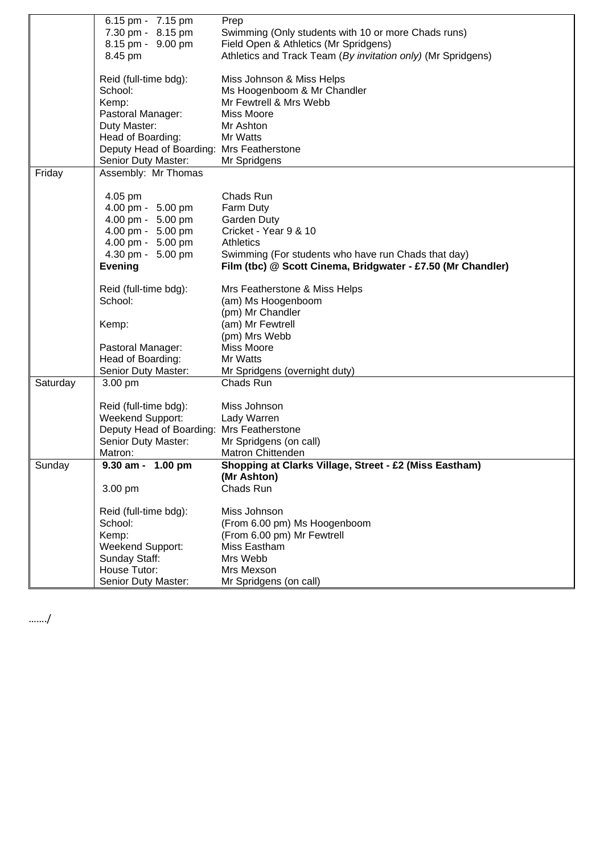|          | 6.15 pm - 7.15 pm                         | Prep                                                         |
|----------|-------------------------------------------|--------------------------------------------------------------|
|          | 7.30 pm - 8.15 pm                         | Swimming (Only students with 10 or more Chads runs)          |
|          | 8.15 pm - 9.00 pm                         |                                                              |
|          |                                           | Field Open & Athletics (Mr Spridgens)                        |
|          | 8.45 pm                                   | Athletics and Track Team (By invitation only) (Mr Spridgens) |
|          | Reid (full-time bdg):                     | Miss Johnson & Miss Helps                                    |
|          | School:                                   | Ms Hoogenboom & Mr Chandler                                  |
|          | Kemp:                                     | Mr Fewtrell & Mrs Webb                                       |
|          | Pastoral Manager:                         | <b>Miss Moore</b>                                            |
|          | Duty Master:                              | Mr Ashton                                                    |
|          | Head of Boarding:                         | Mr Watts                                                     |
|          | Deputy Head of Boarding: Mrs Featherstone |                                                              |
|          | Senior Duty Master:                       | Mr Spridgens                                                 |
| Friday   | Assembly: Mr Thomas                       |                                                              |
|          |                                           |                                                              |
|          | 4.05 pm                                   | Chads Run                                                    |
|          | 4.00 pm - 5.00 pm                         | Farm Duty                                                    |
|          | 4.00 pm - 5.00 pm                         | <b>Garden Duty</b>                                           |
|          | 4.00 pm - 5.00 pm                         | Cricket - Year 9 & 10                                        |
|          | 4.00 pm - 5.00 pm                         | <b>Athletics</b>                                             |
|          | 4.30 pm - 5.00 pm                         | Swimming (For students who have run Chads that day)          |
|          | <b>Evening</b>                            | Film (tbc) @ Scott Cinema, Bridgwater - £7.50 (Mr Chandler)  |
|          | Reid (full-time bdg):                     | Mrs Featherstone & Miss Helps                                |
|          | School:                                   | (am) Ms Hoogenboom                                           |
|          |                                           | (pm) Mr Chandler                                             |
|          |                                           |                                                              |
|          | Kemp:                                     | (am) Mr Fewtrell                                             |
|          |                                           | (pm) Mrs Webb                                                |
|          | Pastoral Manager:                         | <b>Miss Moore</b>                                            |
|          | Head of Boarding:                         | Mr Watts                                                     |
|          | Senior Duty Master:                       | Mr Spridgens (overnight duty)                                |
| Saturday | 3.00 pm                                   | Chads Run                                                    |
|          | Reid (full-time bdg):                     | Miss Johnson                                                 |
|          | Weekend Support:                          | Lady Warren                                                  |
|          | Deputy Head of Boarding: Mrs Featherstone |                                                              |
|          | Senior Duty Master:                       | Mr Spridgens (on call)                                       |
|          | Matron:                                   | Matron Chittenden                                            |
| Sunday   | 9.30 am - 1.00 pm                         | Shopping at Clarks Village, Street - £2 (Miss Eastham)       |
|          |                                           | (Mr Ashton)                                                  |
|          | 3.00 pm                                   | Chads Run                                                    |
|          | Reid (full-time bdg):                     | Miss Johnson                                                 |
|          | School:                                   | (From 6.00 pm) Ms Hoogenboom                                 |
|          | Kemp:                                     | (From 6.00 pm) Mr Fewtrell                                   |
|          | <b>Weekend Support:</b>                   | Miss Eastham                                                 |
|          | Sunday Staff:                             | Mrs Webb                                                     |
|          | House Tutor:                              | Mrs Mexson                                                   |
|          |                                           |                                                              |
|          | Senior Duty Master:                       | Mr Spridgens (on call)                                       |

……./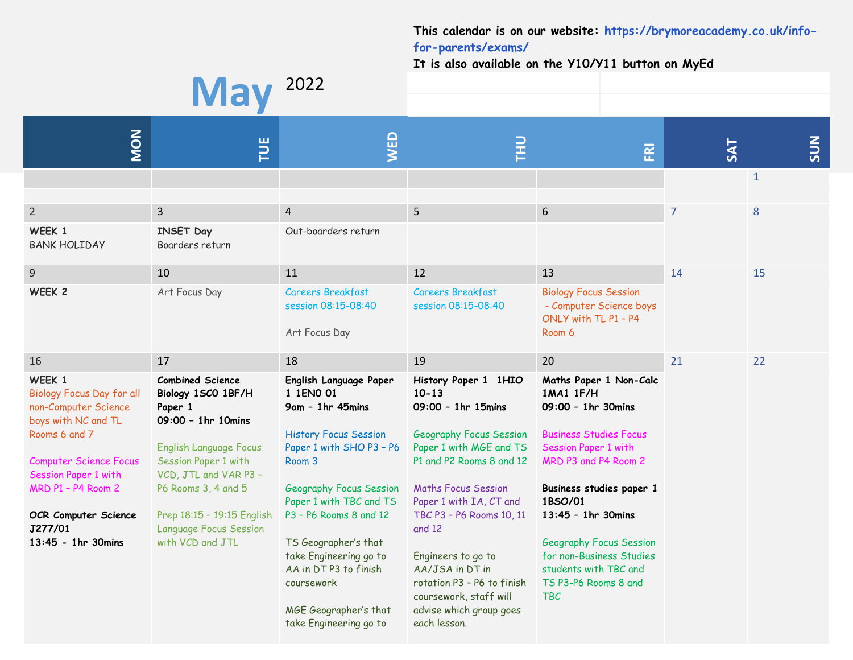## **This calendar is on our website: [https://brymoreacademy.co.uk/info](https://brymoreacademy.co.uk/info-for-parents/exams/)[for-parents/exams/](https://brymoreacademy.co.uk/info-for-parents/exams/)**

**It is also available on the Y10/Y11 button on MyEd**

## **May** <sup>2022</sup> **MON TUE WED THU FRI SAT SUN** 1  $2$  3 4 5 6 7 8 **WEEK 1** BANK HOLIDAY **INSET Day** Boarders return Out-boarders return 9 10 10 11 12 13 13 14 15 **WEEK 2** Art Focus Day Careers Breakfast session 08:15-08:40 Art Focus Day Careers Breakfast session 08:15-08:40 Biology Focus Session - Computer Science boys ONLY with TL P1 – P4 Room 6 16 17 17 18 19 19 20 21 21 22 **WEEK 1** Biology Focus Day for all non-Computer Science boys with NC and TL Rooms 6 and 7 Computer Science Focus Session Paper 1 with MRD P1 – P4 Room 2 **OCR Computer Science J277/01 13:45 - 1hr 30mins Combined Science Biology 1SC0 1BF/H Paper 1 09:00 – 1hr 10mins** English Language Focus Session Paper 1 with VCD, JTL and VAR P3 – P6 Rooms 3, 4 and 5 Prep 18:15 – 19:15 English Language Focus Session with VCD and JTL **English Language Paper 1 1EN0 01 9am – 1hr 45mins** History Focus Session Paper 1 with SHO P3 – P6 Room 3 Geography Focus Session Paper 1 with TBC and TS P3 – P6 Rooms 8 and 12 TS Geographer's that take Engineering go to AA in DT P3 to finish coursework MGE Geographer's that take Engineering go to **History Paper 1 1HIO 10-13 09:00 – 1hr 15mins** Geography Focus Session Paper 1 with MGE and TS P1 and P2 Rooms 8 and 12 Maths Focus Session Paper 1 with IA, CT and TBC P3 – P6 Rooms 10, 11 and 12 Engineers to go to AA/JSA in DT in rotation P3 – P6 to finish coursework, staff will advise which group goes each lesson. **Maths Paper 1 Non-Calc 1MA1 1F/H 09:00 – 1hr 30mins** Business Studies Focus Session Paper 1 with MRD P3 and P4 Room 2 **Business studies paper 1 1BSO/01 13:45 – 1hr 30mins** Geography Focus Session for non-Business Studies students with TBC and TS P3-P6 Rooms 8 and TBC